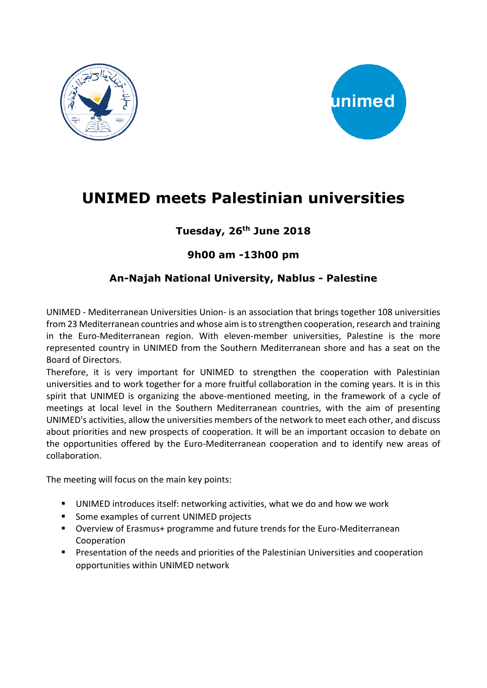



# **UNIMED meets Palestinian universities**

### **Tuesday, 26th June 2018**

#### **9h00 am -13h00 pm**

#### **An-Najah National University, Nablus - Palestine**

UNIMED - Mediterranean Universities Union- is an association that brings together 108 universities from 23 Mediterranean countries and whose aim is to strengthen cooperation, research and training in the Euro-Mediterranean region. With eleven-member universities, Palestine is the more represented country in UNIMED from the Southern Mediterranean shore and has a seat on the Board of Directors.

Therefore, it is very important for UNIMED to strengthen the cooperation with Palestinian universities and to work together for a more fruitful collaboration in the coming years. It is in this spirit that UNIMED is organizing the above-mentioned meeting, in the framework of a cycle of meetings at local level in the Southern Mediterranean countries, with the aim of presenting UNIMED's activities, allow the universities members of the network to meet each other, and discuss about priorities and new prospects of cooperation. It will be an important occasion to debate on the opportunities offered by the Euro-Mediterranean cooperation and to identify new areas of collaboration.

The meeting will focus on the main key points:

- UNIMED introduces itself: networking activities, what we do and how we work
- Some examples of current UNIMED projects
- Overview of Erasmus+ programme and future trends for the Euro-Mediterranean Cooperation
- Presentation of the needs and priorities of the Palestinian Universities and cooperation opportunities within UNIMED network